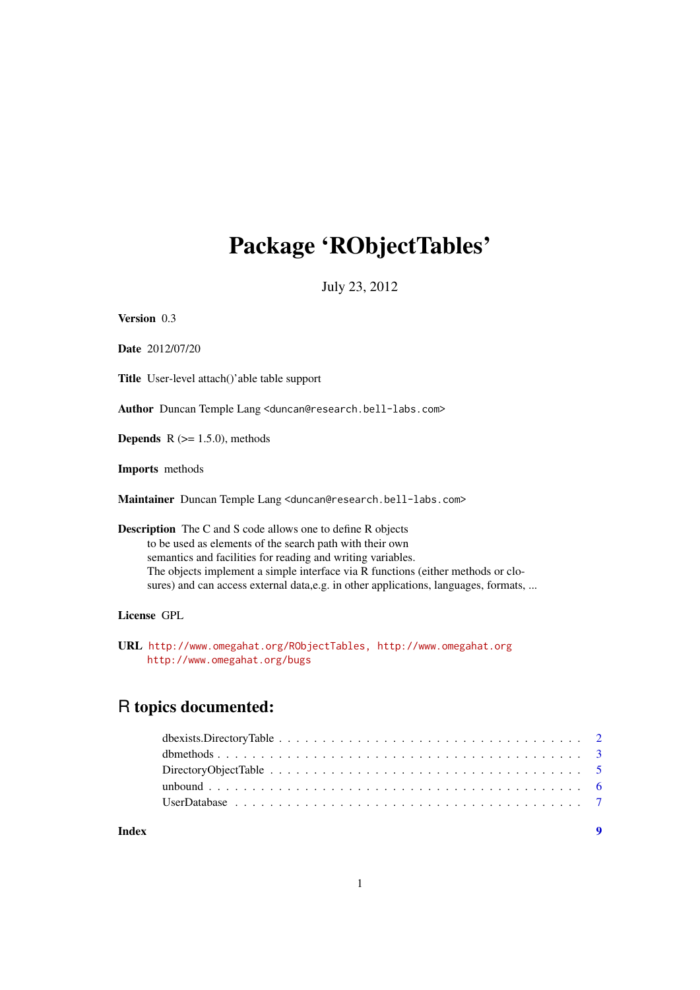# <span id="page-0-0"></span>Package 'RObjectTables'

July 23, 2012

Version 0.3

Date 2012/07/20

Title User-level attach()'able table support

Author Duncan Temple Lang <duncan@research.bell-labs.com>

**Depends**  $R$  ( $>= 1.5.0$ ), methods

Imports methods

Maintainer Duncan Temple Lang <duncan@research.bell-labs.com>

# Description The C and S code allows one to define R objects to be used as elements of the search path with their own semantics and facilities for reading and writing variables. The objects implement a simple interface via R functions (either methods or closures) and can access external data,e.g. in other applications, languages, formats, ...

# License GPL

URL <http://www.omegahat.org/RObjectTables,> <http://www.omegahat.org> <http://www.omegahat.org/bugs>

# R topics documented:

| Index |  |
|-------|--|
|       |  |
|       |  |
|       |  |
|       |  |
|       |  |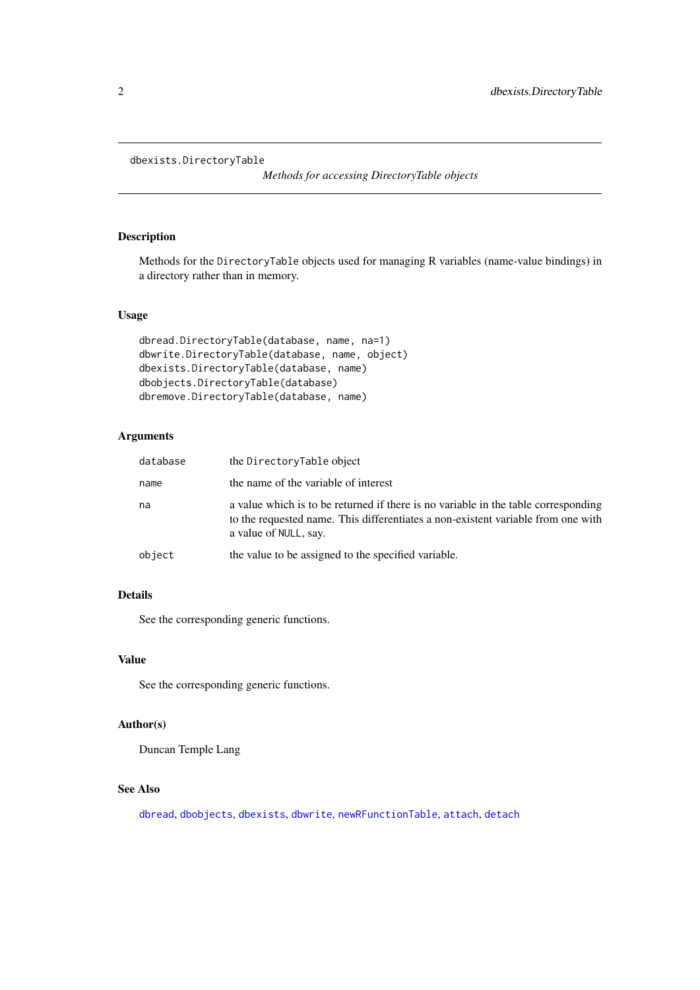```
dbexists.DirectoryTable
```
*Methods for accessing DirectoryTable objects*

# Description

Methods for the DirectoryTable objects used for managing R variables (name-value bindings) in a directory rather than in memory.

# Usage

```
dbread.DirectoryTable(database, name, na=1)
dbwrite.DirectoryTable(database, name, object)
dbexists.DirectoryTable(database, name)
dbobjects.DirectoryTable(database)
dbremove.DirectoryTable(database, name)
```
# Arguments

| database | the DirectoryTable object                                                                                                                                                                       |
|----------|-------------------------------------------------------------------------------------------------------------------------------------------------------------------------------------------------|
| name     | the name of the variable of interest                                                                                                                                                            |
| na       | a value which is to be returned if there is no variable in the table corresponding<br>to the requested name. This differentiates a non-existent variable from one with<br>a value of NULL, say. |
| object   | the value to be assigned to the specified variable.                                                                                                                                             |

# Details

See the corresponding generic functions.

#### Value

See the corresponding generic functions.

# Author(s)

Duncan Temple Lang

# See Also

[dbread](#page-2-1), [dbobjects](#page-2-1), [dbexists](#page-2-1), [dbwrite](#page-2-1), [newRFunctionTable](#page-6-1), [attach](#page-0-0), [detach](#page-0-0)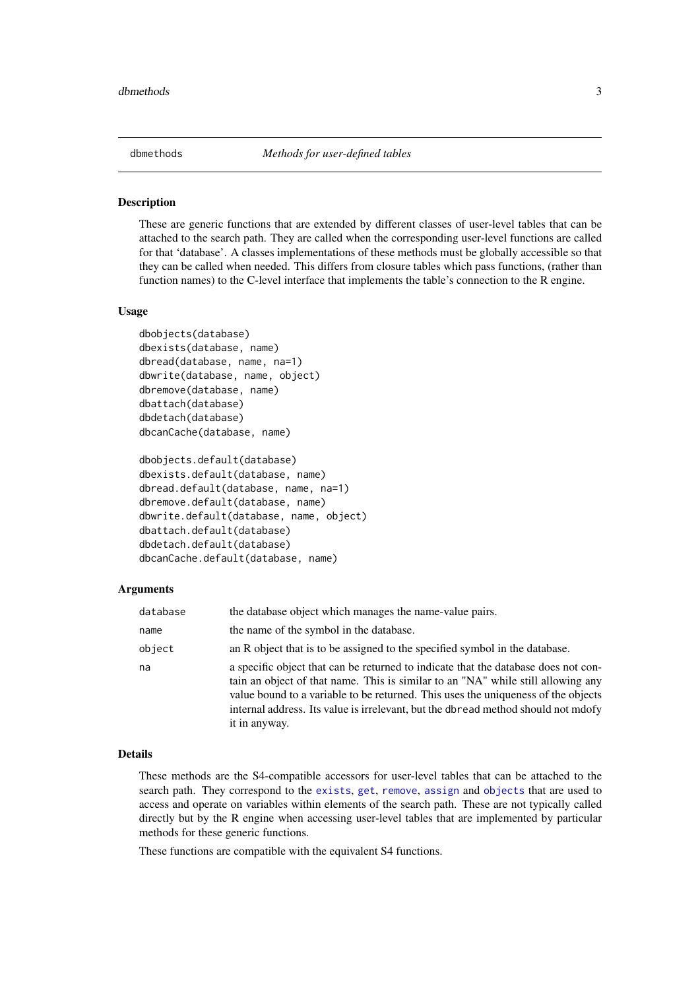<span id="page-2-0"></span>

#### <span id="page-2-1"></span>Description

These are generic functions that are extended by different classes of user-level tables that can be attached to the search path. They are called when the corresponding user-level functions are called for that 'database'. A classes implementations of these methods must be globally accessible so that they can be called when needed. This differs from closure tables which pass functions, (rather than function names) to the C-level interface that implements the table's connection to the R engine.

#### Usage

```
dbobjects(database)
dbexists(database, name)
dbread(database, name, na=1)
dbwrite(database, name, object)
dbremove(database, name)
dbattach(database)
dbdetach(database)
dbcanCache(database, name)
```

```
dbobjects.default(database)
dbexists.default(database, name)
dbread.default(database, name, na=1)
dbremove.default(database, name)
dbwrite.default(database, name, object)
dbattach.default(database)
dbdetach.default(database)
dbcanCache.default(database, name)
```
#### Arguments

| database | the database object which manages the name-value pairs.                                                                                                                                                                                                                                                                                                           |
|----------|-------------------------------------------------------------------------------------------------------------------------------------------------------------------------------------------------------------------------------------------------------------------------------------------------------------------------------------------------------------------|
| name     | the name of the symbol in the database.                                                                                                                                                                                                                                                                                                                           |
| object   | an R object that is to be assigned to the specified symbol in the database.                                                                                                                                                                                                                                                                                       |
| na       | a specific object that can be returned to indicate that the database does not con-<br>tain an object of that name. This is similar to an "NA" while still allowing any<br>value bound to a variable to be returned. This uses the uniqueness of the objects<br>internal address. Its value is irrelevant, but the dbread method should not mdofy<br>it in anyway. |

# Details

These methods are the S4-compatible accessors for user-level tables that can be attached to the search path. They correspond to the [exists](#page-0-0), [get](#page-0-0), [remove](#page-0-0), [assign](#page-0-0) and [objects](#page-0-0) that are used to access and operate on variables within elements of the search path. These are not typically called directly but by the R engine when accessing user-level tables that are implemented by particular methods for these generic functions.

These functions are compatible with the equivalent S4 functions.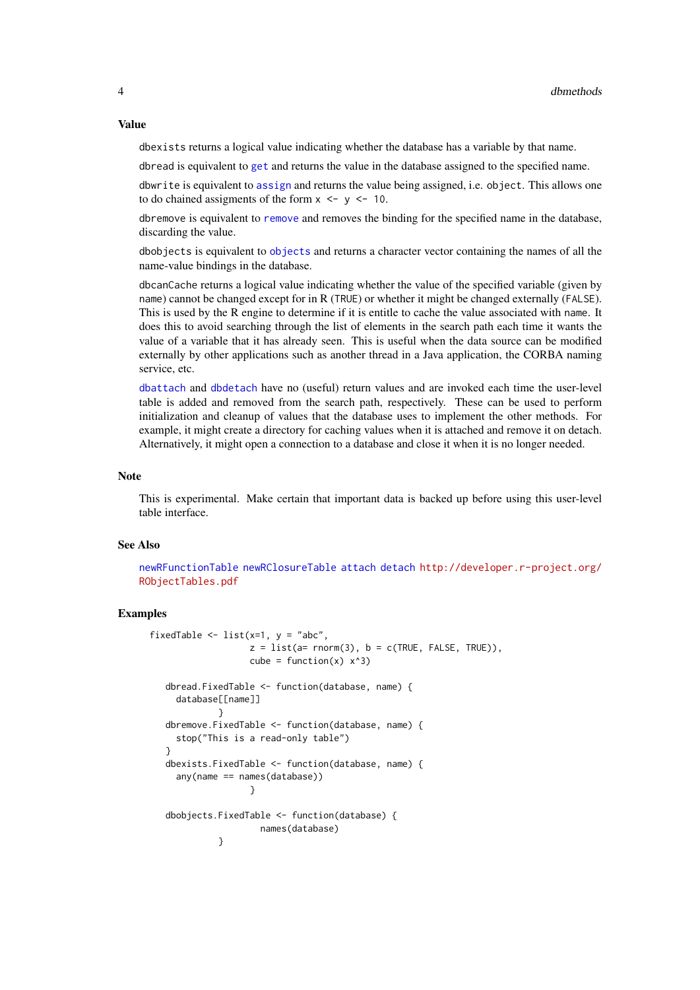#### Value

dbexists returns a logical value indicating whether the database has a variable by that name.

dbread is equivalent to [get](#page-0-0) and returns the value in the database assigned to the specified name.

dbwrite is equivalent to [assign](#page-0-0) and returns the value being assigned, i.e. object. This allows one to do chained assigments of the form  $x \le -y \le -10$ .

dbremove is equivalent to [remove](#page-0-0) and removes the binding for the specified name in the database, discarding the value.

dbobjects is equivalent to [objects](#page-0-0) and returns a character vector containing the names of all the name-value bindings in the database.

dbcanCache returns a logical value indicating whether the value of the specified variable (given by name) cannot be changed except for in R (TRUE) or whether it might be changed externally (FALSE). This is used by the R engine to determine if it is entitle to cache the value associated with name. It does this to avoid searching through the list of elements in the search path each time it wants the value of a variable that it has already seen. This is useful when the data source can be modified externally by other applications such as another thread in a Java application, the CORBA naming service, etc.

[dbattach](#page-2-1) and [dbdetach](#page-2-1) have no (useful) return values and are invoked each time the user-level table is added and removed from the search path, respectively. These can be used to perform initialization and cleanup of values that the database uses to implement the other methods. For example, it might create a directory for caching values when it is attached and remove it on detach. Alternatively, it might open a connection to a database and close it when it is no longer needed.

#### Note

This is experimental. Make certain that important data is backed up before using this user-level table interface.

#### See Also

[newRFunctionTable](#page-6-1) [newRClosureTable](#page-6-1) [attach](#page-0-0) [detach](#page-0-0) [http://developer.r-project.org/](http://developer.r-project.org/RObjectTables.pdf) [RObjectTables.pdf](http://developer.r-project.org/RObjectTables.pdf)

#### Examples

```
fixedTable \le list(x=1, y = "abc",
                   z = list(a = rnorm(3), b = c(TRUE, FALSE, TRUE)),cube = function(x) x^3)
   dbread.FixedTable <- function(database, name) {
    database[[name]]
             }
   dbremove.FixedTable <- function(database, name) {
    stop("This is a read-only table")
   }
   dbexists.FixedTable <- function(database, name) {
    any(name == names(database))
                   }
   dbobjects.FixedTable <- function(database) {
                     names(database)
             }
```
<span id="page-3-0"></span>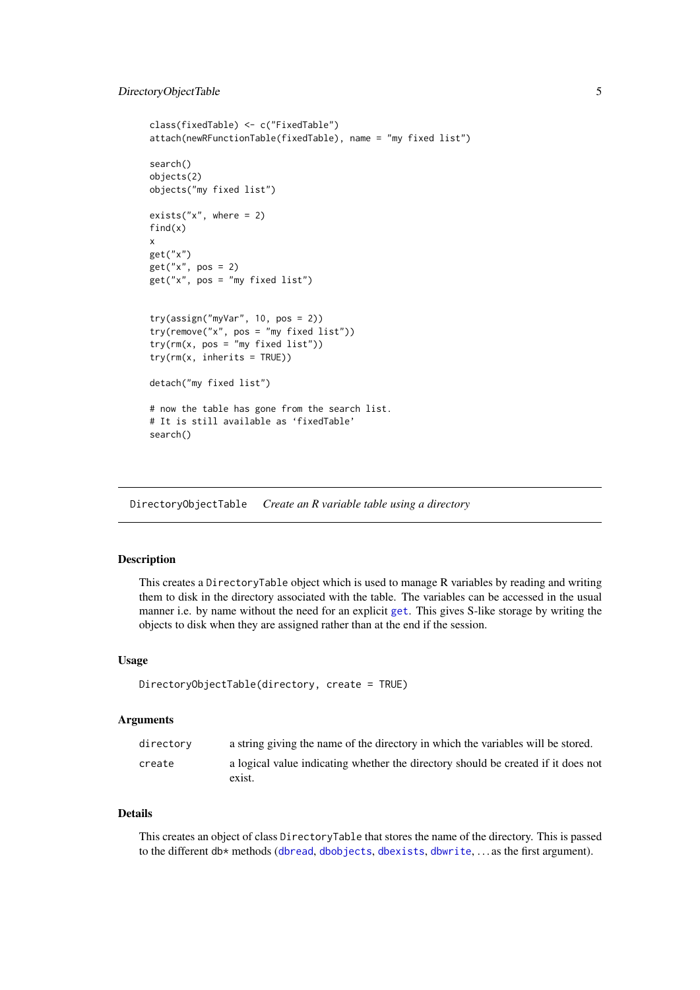```
class(fixedTable) <- c("FixedTable")
attach(newRFunctionTable(fixedTable), name = "my fixed list")
search()
objects(2)
objects("my fixed list")
exists("x", where = 2)find(x)x
get("x")
get("x", pos = 2)
get("x", pos = "my fixed list")
try(assign("myVar", 10, pos = 2))
try(remove("x", pos = "my fixed list"))
try(rm(x, pos = "my fixed list"))try(rm(x, \text{ inherits} = TRUE))detach("my fixed list")
# now the table has gone from the search list.
# It is still available as 'fixedTable'
search()
```
DirectoryObjectTable *Create an R variable table using a directory*

# Description

This creates a DirectoryTable object which is used to manage R variables by reading and writing them to disk in the directory associated with the table. The variables can be accessed in the usual manner i.e. by name without the need for an explicit [get](#page-0-0). This gives S-like storage by writing the objects to disk when they are assigned rather than at the end if the session.

# Usage

```
DirectoryObjectTable(directory, create = TRUE)
```
#### Arguments

| directory | a string giving the name of the directory in which the variables will be stored.            |
|-----------|---------------------------------------------------------------------------------------------|
| create    | a logical value indicating whether the directory should be created if it does not<br>exist. |

# Details

This creates an object of class DirectoryTable that stores the name of the directory. This is passed to the different db\* methods ([dbread](#page-2-1), [dbobjects](#page-2-1), [dbexists](#page-2-1), [dbwrite](#page-2-1), . . . as the first argument).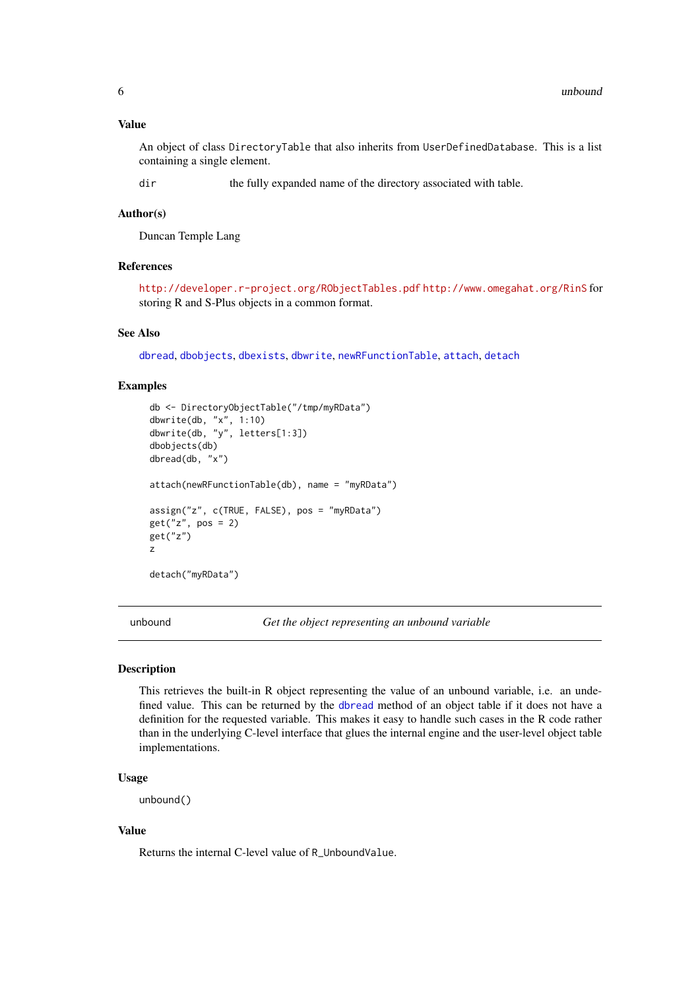#### <span id="page-5-0"></span>Value

An object of class DirectoryTable that also inherits from UserDefinedDatabase. This is a list containing a single element.

dir the fully expanded name of the directory associated with table.

#### Author(s)

Duncan Temple Lang

#### References

<http://developer.r-project.org/RObjectTables.pdf> <http://www.omegahat.org/RinS> for storing R and S-Plus objects in a common format.

#### See Also

[dbread](#page-2-1), [dbobjects](#page-2-1), [dbexists](#page-2-1), [dbwrite](#page-2-1), [newRFunctionTable](#page-6-1), [attach](#page-0-0), [detach](#page-0-0)

#### Examples

```
db <- DirectoryObjectTable("/tmp/myRData")
dbwrite(db, "x", 1:10)
dbwrite(db, "y", letters[1:3])
dbobjects(db)
dbread(db, "x")
attach(newRFunctionTable(db), name = "myRData")
assign("z", c(TRUE, FALSE), pos = "myRData")
get("z", pos = 2)
get("z")
z
detach("myRData")
```
unbound *Get the object representing an unbound variable*

# Description

This retrieves the built-in R object representing the value of an unbound variable, i.e. an undefined value. This can be returned by the [dbread](#page-2-1) method of an object table if it does not have a definition for the requested variable. This makes it easy to handle such cases in the R code rather than in the underlying C-level interface that glues the internal engine and the user-level object table implementations.

#### Usage

unbound()

#### Value

Returns the internal C-level value of R\_UnboundValue.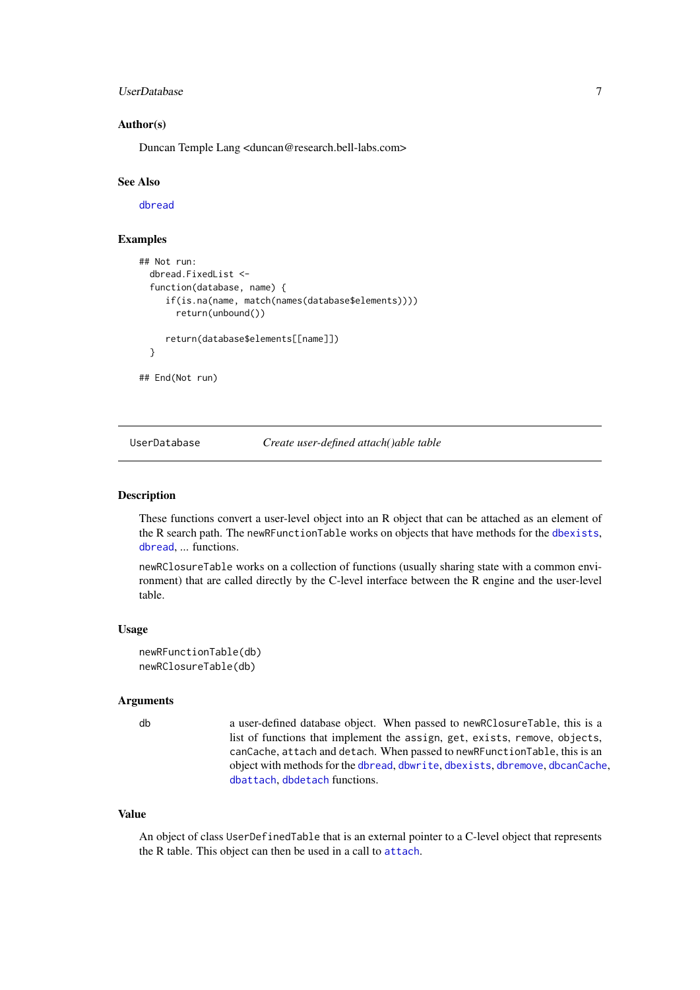#### <span id="page-6-0"></span>UserDatabase 7

#### Author(s)

Duncan Temple Lang <duncan@research.bell-labs.com>

#### See Also

[dbread](#page-2-1)

# Examples

```
## Not run:
  dbread.FixedList <-
  function(database, name) {
     if(is.na(name, match(names(database$elements))))
       return(unbound())
     return(database$elements[[name]])
  }
## End(Not run)
```
UserDatabase *Create user-defined attach()able table*

#### <span id="page-6-1"></span>Description

These functions convert a user-level object into an R object that can be attached as an element of the R search path. The newRFunctionTable works on objects that have methods for the [dbexists](#page-2-1), [dbread](#page-2-1), ... functions.

newRClosureTable works on a collection of functions (usually sharing state with a common environment) that are called directly by the C-level interface between the R engine and the user-level table.

#### Usage

```
newRFunctionTable(db)
newRClosureTable(db)
```
# Arguments

db a user-defined database object. When passed to newRClosureTable, this is a list of functions that implement the assign, get, exists, remove, objects, canCache, attach and detach. When passed to newRFunctionTable, this is an object with methods for the [dbread](#page-2-1), [dbwrite](#page-2-1), [dbexists](#page-2-1), [dbremove](#page-2-1), [dbcanCache](#page-2-1), [dbattach](#page-2-1), [dbdetach](#page-2-1) functions.

#### Value

An object of class UserDefinedTable that is an external pointer to a C-level object that represents the R table. This object can then be used in a call to [attach](#page-0-0).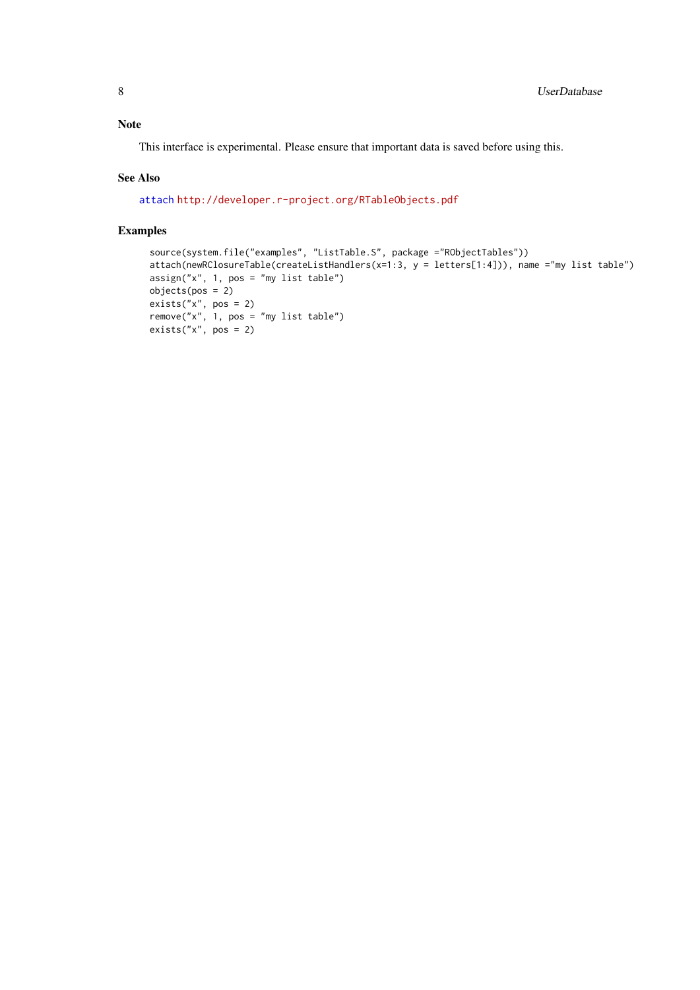# <span id="page-7-0"></span>Note

This interface is experimental. Please ensure that important data is saved before using this.

# See Also

[attach](#page-0-0) <http://developer.r-project.org/RTableObjects.pdf>

# Examples

```
source(system.file("examples", "ListTable.S", package ="RObjectTables"))
attach(newRClosureTable(createListHandlers(x=1:3, y = letters[1:4])), name ="my list table")
assign("x", 1, pos = "my list table")
objects(pos = 2)
exists("x", pos = 2)
remove("x", 1, pos = "my list table")
exists("x", pos = 2)
```